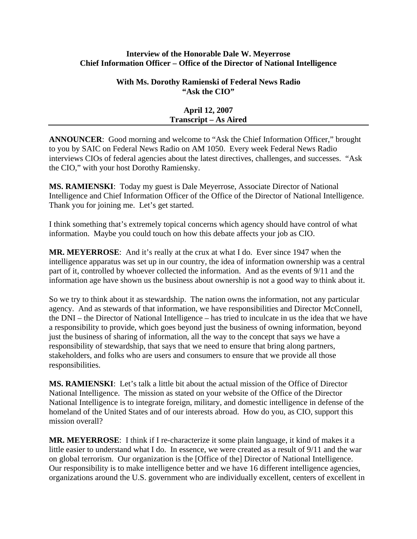## **Interview of the Honorable Dale W. Meyerrose Chief Information Officer – Office of the Director of National Intelligence**

## **With Ms. Dorothy Ramienski of Federal News Radio "Ask the CIO"**

| <b>April 12, 2007</b>        |
|------------------------------|
| <b>Transcript – As Aired</b> |

**ANNOUNCER**: Good morning and welcome to "Ask the Chief Information Officer," brought to you by SAIC on Federal News Radio on AM 1050. Every week Federal News Radio interviews CIOs of federal agencies about the latest directives, challenges, and successes. "Ask the CIO," with your host Dorothy Ramiensky.

**MS. RAMIENSKI**: Today my guest is Dale Meyerrose, Associate Director of National Intelligence and Chief Information Officer of the Office of the Director of National Intelligence. Thank you for joining me. Let's get started.

I think something that's extremely topical concerns which agency should have control of what information. Maybe you could touch on how this debate affects your job as CIO.

**MR. MEYERROSE**: And it's really at the crux at what I do. Ever since 1947 when the intelligence apparatus was set up in our country, the idea of information ownership was a central part of it, controlled by whoever collected the information. And as the events of 9/11 and the information age have shown us the business about ownership is not a good way to think about it.

So we try to think about it as stewardship. The nation owns the information, not any particular agency. And as stewards of that information, we have responsibilities and Director McConnell, the DNI – the Director of National Intelligence – has tried to inculcate in us the idea that we have a responsibility to provide, which goes beyond just the business of owning information, beyond just the business of sharing of information, all the way to the concept that says we have a responsibility of stewardship, that says that we need to ensure that bring along partners, stakeholders, and folks who are users and consumers to ensure that we provide all those responsibilities.

**MS. RAMIENSKI**: Let's talk a little bit about the actual mission of the Office of Director National Intelligence. The mission as stated on your website of the Office of the Director National Intelligence is to integrate foreign, military, and domestic intelligence in defense of the homeland of the United States and of our interests abroad. How do you, as CIO, support this mission overall?

**MR. MEYERROSE**: I think if I re-characterize it some plain language, it kind of makes it a little easier to understand what I do. In essence, we were created as a result of 9/11 and the war on global terrorism. Our organization is the [Office of the] Director of National Intelligence. Our responsibility is to make intelligence better and we have 16 different intelligence agencies, organizations around the U.S. government who are individually excellent, centers of excellent in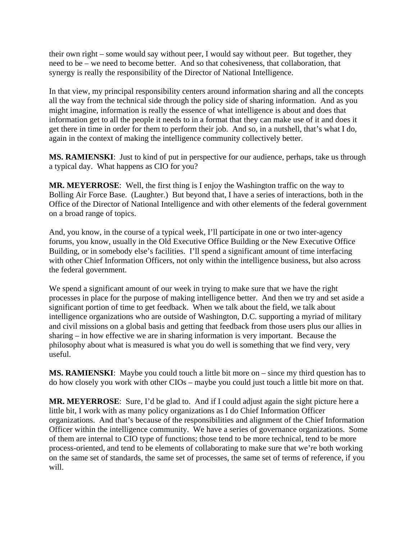their own right – some would say without peer, I would say without peer. But together, they need to be – we need to become better. And so that cohesiveness, that collaboration, that synergy is really the responsibility of the Director of National Intelligence.

In that view, my principal responsibility centers around information sharing and all the concepts all the way from the technical side through the policy side of sharing information. And as you might imagine, information is really the essence of what intelligence is about and does that information get to all the people it needs to in a format that they can make use of it and does it get there in time in order for them to perform their job. And so, in a nutshell, that's what I do, again in the context of making the intelligence community collectively better.

**MS. RAMIENSKI**: Just to kind of put in perspective for our audience, perhaps, take us through a typical day. What happens as CIO for you?

**MR. MEYERROSE**: Well, the first thing is I enjoy the Washington traffic on the way to Bolling Air Force Base. (Laughter.) But beyond that, I have a series of interactions, both in the Office of the Director of National Intelligence and with other elements of the federal government on a broad range of topics.

And, you know, in the course of a typical week, I'll participate in one or two inter-agency forums, you know, usually in the Old Executive Office Building or the New Executive Office Building, or in somebody else's facilities. I'll spend a significant amount of time interfacing with other Chief Information Officers, not only within the intelligence business, but also across the federal government.

We spend a significant amount of our week in trying to make sure that we have the right processes in place for the purpose of making intelligence better. And then we try and set aside a significant portion of time to get feedback. When we talk about the field, we talk about intelligence organizations who are outside of Washington, D.C. supporting a myriad of military and civil missions on a global basis and getting that feedback from those users plus our allies in sharing – in how effective we are in sharing information is very important. Because the philosophy about what is measured is what you do well is something that we find very, very useful.

**MS. RAMIENSKI**: Maybe you could touch a little bit more on – since my third question has to do how closely you work with other CIOs – maybe you could just touch a little bit more on that.

**MR. MEYERROSE**: Sure, I'd be glad to. And if I could adjust again the sight picture here a little bit, I work with as many policy organizations as I do Chief Information Officer organizations. And that's because of the responsibilities and alignment of the Chief Information Officer within the intelligence community. We have a series of governance organizations. Some of them are internal to CIO type of functions; those tend to be more technical, tend to be more process-oriented, and tend to be elements of collaborating to make sure that we're both working on the same set of standards, the same set of processes, the same set of terms of reference, if you will.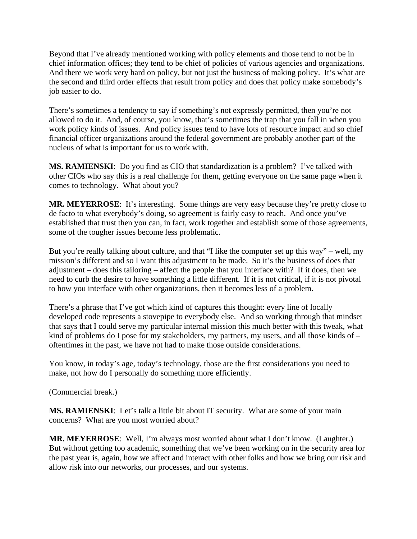Beyond that I've already mentioned working with policy elements and those tend to not be in chief information offices; they tend to be chief of policies of various agencies and organizations. And there we work very hard on policy, but not just the business of making policy. It's what are the second and third order effects that result from policy and does that policy make somebody's job easier to do.

There's sometimes a tendency to say if something's not expressly permitted, then you're not allowed to do it. And, of course, you know, that's sometimes the trap that you fall in when you work policy kinds of issues. And policy issues tend to have lots of resource impact and so chief financial officer organizations around the federal government are probably another part of the nucleus of what is important for us to work with.

**MS. RAMIENSKI**: Do you find as CIO that standardization is a problem? I've talked with other CIOs who say this is a real challenge for them, getting everyone on the same page when it comes to technology. What about you?

**MR. MEYERROSE**: It's interesting. Some things are very easy because they're pretty close to de facto to what everybody's doing, so agreement is fairly easy to reach. And once you've established that trust then you can, in fact, work together and establish some of those agreements, some of the tougher issues become less problematic.

But you're really talking about culture, and that "I like the computer set up this way" – well, my mission's different and so I want this adjustment to be made. So it's the business of does that adjustment – does this tailoring – affect the people that you interface with? If it does, then we need to curb the desire to have something a little different. If it is not critical, if it is not pivotal to how you interface with other organizations, then it becomes less of a problem.

There's a phrase that I've got which kind of captures this thought: every line of locally developed code represents a stovepipe to everybody else. And so working through that mindset that says that I could serve my particular internal mission this much better with this tweak, what kind of problems do I pose for my stakeholders, my partners, my users, and all those kinds of – oftentimes in the past, we have not had to make those outside considerations.

You know, in today's age, today's technology, those are the first considerations you need to make, not how do I personally do something more efficiently.

(Commercial break.)

**MS. RAMIENSKI**: Let's talk a little bit about IT security. What are some of your main concerns? What are you most worried about?

**MR. MEYERROSE**: Well, I'm always most worried about what I don't know. (Laughter.) But without getting too academic, something that we've been working on in the security area for the past year is, again, how we affect and interact with other folks and how we bring our risk and allow risk into our networks, our processes, and our systems.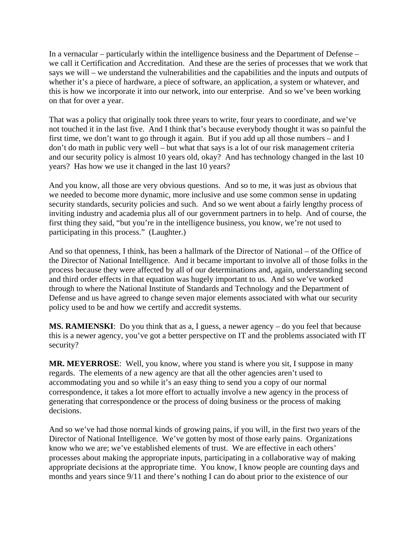In a vernacular – particularly within the intelligence business and the Department of Defense – we call it Certification and Accreditation. And these are the series of processes that we work that says we will – we understand the vulnerabilities and the capabilities and the inputs and outputs of whether it's a piece of hardware, a piece of software, an application, a system or whatever, and this is how we incorporate it into our network, into our enterprise. And so we've been working on that for over a year.

That was a policy that originally took three years to write, four years to coordinate, and we've not touched it in the last five. And I think that's because everybody thought it was so painful the first time, we don't want to go through it again. But if you add up all those numbers – and I don't do math in public very well – but what that says is a lot of our risk management criteria and our security policy is almost 10 years old, okay? And has technology changed in the last 10 years? Has how we use it changed in the last 10 years?

And you know, all those are very obvious questions. And so to me, it was just as obvious that we needed to become more dynamic, more inclusive and use some common sense in updating security standards, security policies and such. And so we went about a fairly lengthy process of inviting industry and academia plus all of our government partners in to help. And of course, the first thing they said, "but you're in the intelligence business, you know, we're not used to participating in this process." (Laughter.)

And so that openness, I think, has been a hallmark of the Director of National – of the Office of the Director of National Intelligence. And it became important to involve all of those folks in the process because they were affected by all of our determinations and, again, understanding second and third order effects in that equation was hugely important to us. And so we've worked through to where the National Institute of Standards and Technology and the Department of Defense and us have agreed to change seven major elements associated with what our security policy used to be and how we certify and accredit systems.

**MS. RAMIENSKI**: Do you think that as a, I guess, a newer agency – do you feel that because this is a newer agency, you've got a better perspective on IT and the problems associated with IT security?

**MR. MEYERROSE**: Well, you know, where you stand is where you sit, I suppose in many regards. The elements of a new agency are that all the other agencies aren't used to accommodating you and so while it's an easy thing to send you a copy of our normal correspondence, it takes a lot more effort to actually involve a new agency in the process of generating that correspondence or the process of doing business or the process of making decisions.

And so we've had those normal kinds of growing pains, if you will, in the first two years of the Director of National Intelligence. We've gotten by most of those early pains. Organizations know who we are; we've established elements of trust. We are effective in each others' processes about making the appropriate inputs, participating in a collaborative way of making appropriate decisions at the appropriate time. You know, I know people are counting days and months and years since 9/11 and there's nothing I can do about prior to the existence of our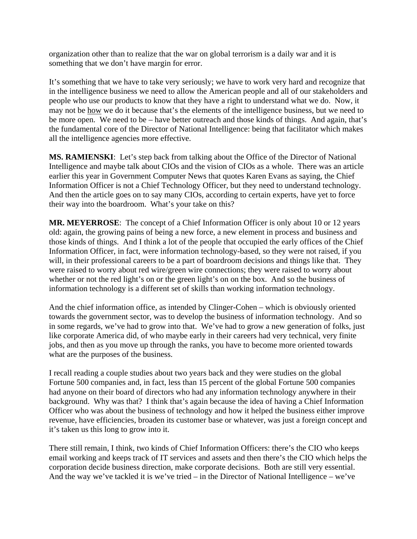organization other than to realize that the war on global terrorism is a daily war and it is something that we don't have margin for error.

It's something that we have to take very seriously; we have to work very hard and recognize that in the intelligence business we need to allow the American people and all of our stakeholders and people who use our products to know that they have a right to understand what we do. Now, it may not be how we do it because that's the elements of the intelligence business, but we need to be more open. We need to be – have better outreach and those kinds of things. And again, that's the fundamental core of the Director of National Intelligence: being that facilitator which makes all the intelligence agencies more effective.

**MS. RAMIENSKI**: Let's step back from talking about the Office of the Director of National Intelligence and maybe talk about CIOs and the vision of CIOs as a whole. There was an article earlier this year in Government Computer News that quotes Karen Evans as saying, the Chief Information Officer is not a Chief Technology Officer, but they need to understand technology. And then the article goes on to say many CIOs, according to certain experts, have yet to force their way into the boardroom. What's your take on this?

**MR. MEYERROSE**: The concept of a Chief Information Officer is only about 10 or 12 years old: again, the growing pains of being a new force, a new element in process and business and those kinds of things. And I think a lot of the people that occupied the early offices of the Chief Information Officer, in fact, were information technology-based, so they were not raised, if you will, in their professional careers to be a part of boardroom decisions and things like that. They were raised to worry about red wire/green wire connections; they were raised to worry about whether or not the red light's on or the green light's on on the box. And so the business of information technology is a different set of skills than working information technology.

And the chief information office, as intended by Clinger-Cohen – which is obviously oriented towards the government sector, was to develop the business of information technology. And so in some regards, we've had to grow into that. We've had to grow a new generation of folks, just like corporate America did, of who maybe early in their careers had very technical, very finite jobs, and then as you move up through the ranks, you have to become more oriented towards what are the purposes of the business.

I recall reading a couple studies about two years back and they were studies on the global Fortune 500 companies and, in fact, less than 15 percent of the global Fortune 500 companies had anyone on their board of directors who had any information technology anywhere in their background. Why was that? I think that's again because the idea of having a Chief Information Officer who was about the business of technology and how it helped the business either improve revenue, have efficiencies, broaden its customer base or whatever, was just a foreign concept and it's taken us this long to grow into it.

There still remain, I think, two kinds of Chief Information Officers: there's the CIO who keeps email working and keeps track of IT services and assets and then there's the CIO which helps the corporation decide business direction, make corporate decisions. Both are still very essential. And the way we've tackled it is we've tried – in the Director of National Intelligence – we've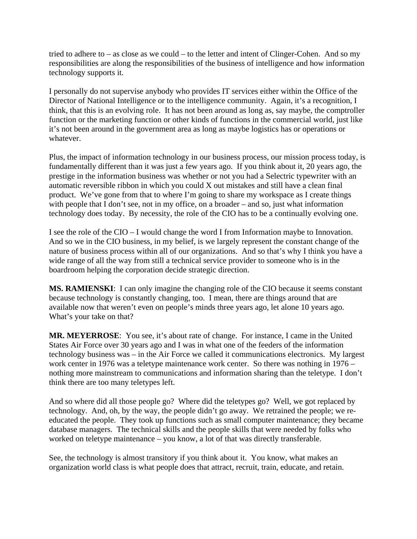tried to adhere to – as close as we could – to the letter and intent of Clinger-Cohen. And so my responsibilities are along the responsibilities of the business of intelligence and how information technology supports it.

I personally do not supervise anybody who provides IT services either within the Office of the Director of National Intelligence or to the intelligence community. Again, it's a recognition, I think, that this is an evolving role. It has not been around as long as, say maybe, the comptroller function or the marketing function or other kinds of functions in the commercial world, just like it's not been around in the government area as long as maybe logistics has or operations or whatever.

Plus, the impact of information technology in our business process, our mission process today, is fundamentally different than it was just a few years ago. If you think about it, 20 years ago, the prestige in the information business was whether or not you had a Selectric typewriter with an automatic reversible ribbon in which you could X out mistakes and still have a clean final product. We've gone from that to where I'm going to share my workspace as I create things with people that I don't see, not in my office, on a broader – and so, just what information technology does today. By necessity, the role of the CIO has to be a continually evolving one.

I see the role of the CIO – I would change the word I from Information maybe to Innovation. And so we in the CIO business, in my belief, is we largely represent the constant change of the nature of business process within all of our organizations. And so that's why I think you have a wide range of all the way from still a technical service provider to someone who is in the boardroom helping the corporation decide strategic direction.

**MS. RAMIENSKI**: I can only imagine the changing role of the CIO because it seems constant because technology is constantly changing, too. I mean, there are things around that are available now that weren't even on people's minds three years ago, let alone 10 years ago. What's your take on that?

**MR. MEYERROSE**: You see, it's about rate of change. For instance, I came in the United States Air Force over 30 years ago and I was in what one of the feeders of the information technology business was – in the Air Force we called it communications electronics. My largest work center in 1976 was a teletype maintenance work center. So there was nothing in 1976 – nothing more mainstream to communications and information sharing than the teletype. I don't think there are too many teletypes left.

And so where did all those people go? Where did the teletypes go? Well, we got replaced by technology. And, oh, by the way, the people didn't go away. We retrained the people; we reeducated the people. They took up functions such as small computer maintenance; they became database managers. The technical skills and the people skills that were needed by folks who worked on teletype maintenance – you know, a lot of that was directly transferable.

See, the technology is almost transitory if you think about it. You know, what makes an organization world class is what people does that attract, recruit, train, educate, and retain.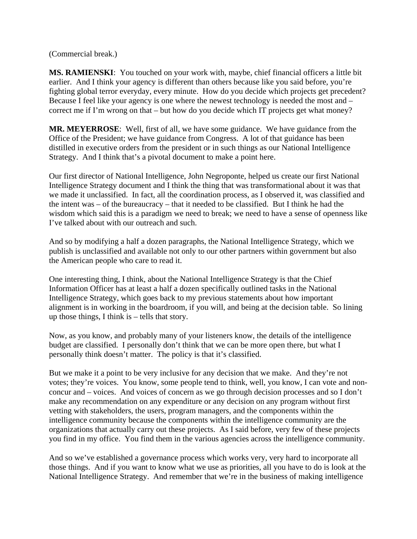(Commercial break.)

**MS. RAMIENSKI**: You touched on your work with, maybe, chief financial officers a little bit earlier. And I think your agency is different than others because like you said before, you're fighting global terror everyday, every minute. How do you decide which projects get precedent? Because I feel like your agency is one where the newest technology is needed the most and – correct me if I'm wrong on that – but how do you decide which IT projects get what money?

**MR. MEYERROSE**: Well, first of all, we have some guidance. We have guidance from the Office of the President; we have guidance from Congress. A lot of that guidance has been distilled in executive orders from the president or in such things as our National Intelligence Strategy. And I think that's a pivotal document to make a point here.

Our first director of National Intelligence, John Negroponte, helped us create our first National Intelligence Strategy document and I think the thing that was transformational about it was that we made it unclassified. In fact, all the coordination process, as I observed it, was classified and the intent was – of the bureaucracy – that it needed to be classified. But I think he had the wisdom which said this is a paradigm we need to break; we need to have a sense of openness like I've talked about with our outreach and such.

And so by modifying a half a dozen paragraphs, the National Intelligence Strategy, which we publish is unclassified and available not only to our other partners within government but also the American people who care to read it.

One interesting thing, I think, about the National Intelligence Strategy is that the Chief Information Officer has at least a half a dozen specifically outlined tasks in the National Intelligence Strategy, which goes back to my previous statements about how important alignment is in working in the boardroom, if you will, and being at the decision table. So lining up those things, I think is – tells that story.

Now, as you know, and probably many of your listeners know, the details of the intelligence budget are classified. I personally don't think that we can be more open there, but what I personally think doesn't matter. The policy is that it's classified.

But we make it a point to be very inclusive for any decision that we make. And they're not votes; they're voices. You know, some people tend to think, well, you know, I can vote and nonconcur and – voices. And voices of concern as we go through decision processes and so I don't make any recommendation on any expenditure or any decision on any program without first vetting with stakeholders, the users, program managers, and the components within the intelligence community because the components within the intelligence community are the organizations that actually carry out these projects. As I said before, very few of these projects you find in my office. You find them in the various agencies across the intelligence community.

And so we've established a governance process which works very, very hard to incorporate all those things. And if you want to know what we use as priorities, all you have to do is look at the National Intelligence Strategy. And remember that we're in the business of making intelligence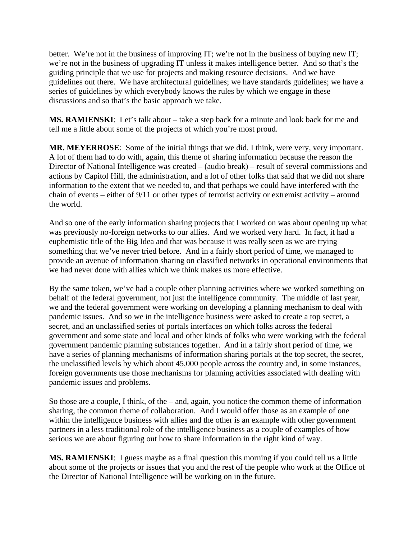better. We're not in the business of improving IT; we're not in the business of buying new IT; we're not in the business of upgrading IT unless it makes intelligence better. And so that's the guiding principle that we use for projects and making resource decisions. And we have guidelines out there. We have architectural guidelines; we have standards guidelines; we have a series of guidelines by which everybody knows the rules by which we engage in these discussions and so that's the basic approach we take.

**MS. RAMIENSKI**: Let's talk about – take a step back for a minute and look back for me and tell me a little about some of the projects of which you're most proud.

**MR. MEYERROSE**: Some of the initial things that we did, I think, were very, very important. A lot of them had to do with, again, this theme of sharing information because the reason the Director of National Intelligence was created – (audio break) – result of several commissions and actions by Capitol Hill, the administration, and a lot of other folks that said that we did not share information to the extent that we needed to, and that perhaps we could have interfered with the chain of events – either of 9/11 or other types of terrorist activity or extremist activity – around the world.

And so one of the early information sharing projects that I worked on was about opening up what was previously no-foreign networks to our allies. And we worked very hard. In fact, it had a euphemistic title of the Big Idea and that was because it was really seen as we are trying something that we've never tried before. And in a fairly short period of time, we managed to provide an avenue of information sharing on classified networks in operational environments that we had never done with allies which we think makes us more effective.

By the same token, we've had a couple other planning activities where we worked something on behalf of the federal government, not just the intelligence community. The middle of last year, we and the federal government were working on developing a planning mechanism to deal with pandemic issues. And so we in the intelligence business were asked to create a top secret, a secret, and an unclassified series of portals interfaces on which folks across the federal government and some state and local and other kinds of folks who were working with the federal government pandemic planning substances together. And in a fairly short period of time, we have a series of planning mechanisms of information sharing portals at the top secret, the secret, the unclassified levels by which about 45,000 people across the country and, in some instances, foreign governments use those mechanisms for planning activities associated with dealing with pandemic issues and problems.

So those are a couple, I think, of the – and, again, you notice the common theme of information sharing, the common theme of collaboration. And I would offer those as an example of one within the intelligence business with allies and the other is an example with other government partners in a less traditional role of the intelligence business as a couple of examples of how serious we are about figuring out how to share information in the right kind of way.

**MS. RAMIENSKI**: I guess maybe as a final question this morning if you could tell us a little about some of the projects or issues that you and the rest of the people who work at the Office of the Director of National Intelligence will be working on in the future.